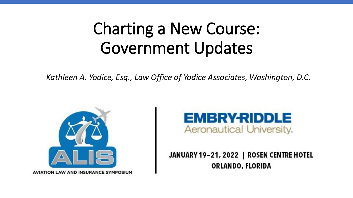#### Charting a New Course: Government Updates

*Kathleen A. Yodice, Esq., Law Office of Yodice Associates, Washington, D.C.*



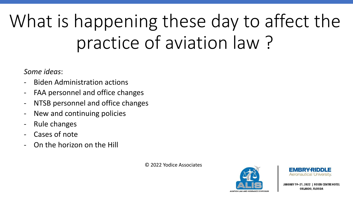# What is happening these day to affect the practice of aviation law ?

#### *Some ideas*:

- Biden Administration actions
- FAA personnel and office changes
- NTSB personnel and office changes
- New and continuing policies
- Rule changes
- Cases of note
- On the horizon on the Hill

© 2022 Yodice Associates



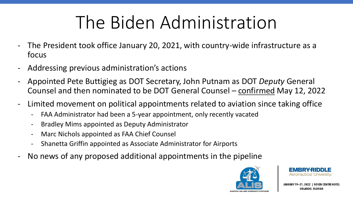## The Biden Administration

- The President took office January 20, 2021, with country-wide infrastructure as a focus
- Addressing previous administration's actions
- Appointed Pete Buttigieg as DOT Secretary, John Putnam as DOT *Deputy* General Counsel and then nominated to be DOT General Counsel – confirmed May 12, 2022
- Limited movement on political appointments related to aviation since taking office
	- FAA Administrator had been a 5-year appointment, only recently vacated
	- Bradley Mims appointed as Deputy Administrator
	- Marc Nichols appointed as FAA Chief Counsel
	- Shanetta Griffin appointed as Associate Administrator for Airports
- No news of any proposed additional appointments in the pipeline



**JANUARY 19 I ROSEN CENTRE HOTEL** ORLANDO, FLORIDA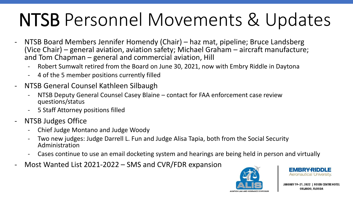## NTSB Personnel Movements & Updates

- NTSB Board Members Jennifer Homendy (Chair) haz mat, pipeline; Bruce Landsberg (Vice Chair) – general aviation, aviation safety; Michael Graham – aircraft manufacture; and Tom Chapman – general and commercial aviation, Hill
	- Robert Sumwalt retired from the Board on June 30, 2021, now with Embry Riddle in Daytona
	- 4 of the 5 member positions currently filled
- NTSB General Counsel Kathleen Silbaugh
	- NTSB Deputy General Counsel Casey Blaine contact for FAA enforcement case review questions/status
	- 5 Staff Attorney positions filled
- **NTSB Judges Office** 
	- Chief Judge Montano and Judge Woody
	- Two new judges: Judge Darrell L. Fun and Judge Alisa Tapia, both from the Social Security Administration
	- Cases continue to use an email docketing system and hearings are being held in person and virtually
- Most Wanted List 2021-2022 SMS and CVR/FDR expansion



Aeronautical University.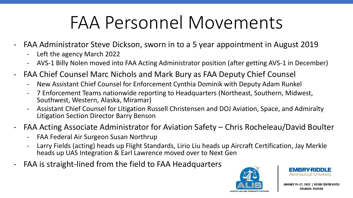## FAA Personnel Movements

- FAA Administrator Steve Dickson, sworn in to a 5 year appointment in August 2019
	- Left the agency March 2022
	- AVS-1 Billy Nolen moved into FAA Acting Administrator position (after getting AVS-1 in December)
- FAA Chief Counsel Marc Nichols and Mark Bury as FAA Deputy Chief Counsel
	- New Assistant Chief Counsel for Enforcement Cynthia Dominik with Deputy Adam Runkel
	- 7 Enforcement Teams nationwide reporting to Headquarters (Northeast, Southern, Midwest, Southwest, Western, Alaska, Miramar)
	- Assistant Chief Counsel for Litigation Russell Christensen and DOJ Aviation, Space, and Admiralty Litigation Section Director Barry Benson
- FAA Acting Associate Administrator for Aviation Safety Chris Rocheleau/David Boulter
	- FAA Federal Air Surgeon Susan Northrup
	- Larry Fields (acting) heads up Flight Standards, Lirio Liu heads up Aircraft Certification, Jay Merkle heads up UAS Integration & Earl Lawrence moved over to Next Gen
- FAA is straight-lined from the field to FAA Headquarters



Aeronautical University.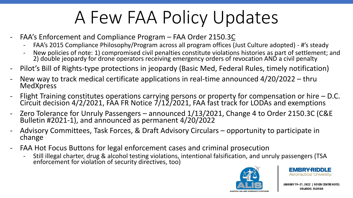## A Few FAA Policy Updates

- FAA's Enforcement and Compliance Program FAA Order 2150.3C
	- FAA's 2015 Compliance Philosophy/Program across all program offices (Just Culture adopted) #'s steady
	- New policies of note: 1) compromised civil penalties constitute violations histories as part of settlement; and 2) double jeopardy for drone operators receiving emergency orders of revocation AND a civil penalty
- Pilot's Bill of Rights-type protections in jeopardy (Basic Med, Federal Rules, timely notification)
- New way to track medical certificate applications in real-time announced  $4/20/2022 -$ thru **MedXpress**
- Flight Training constitutes operations carrying persons or property for compensation or hire D.C. Circuit decision 4/2/2021, FAA FR Notice 7/12/2021, FAA fast track for LODAs and exemptions
- Zero Tolerance for Unruly Passengers announced 1/13/2021, Change 4 to Order 2150.3C (C&E Bulletin #2021-1), and announced as permanent 4/20/2022
- Advisory Committees, Task Forces, & Draft Advisory Circulars opportunity to participate in change
- FAA Hot Focus Buttons for legal enforcement cases and criminal prosecution
	- Still illegal charter, drug & alcohol testing violations, intentional falsification, and unruly passengers (TSA enforcement for violation of security directives, too)



**EMBRY-RIDDLE** Aeronautical University.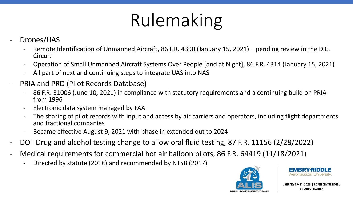# Rulemaking

- Drones/UAS
	- Remote Identification of Unmanned Aircraft, 86 F.R. 4390 (January 15, 2021) pending review in the D.C. Circuit
	- Operation of Small Unmanned Aircraft Systems Over People [and at Night], 86 F.R. 4314 (January 15, 2021)
	- All part of next and continuing steps to integrate UAS into NAS
- PRIA and PRD (Pilot Records Database)
	- 86 F.R. 31006 (June 10, 2021) in compliance with statutory requirements and a continuing build on PRIA from 1996
	- Electronic data system managed by FAA
	- The sharing of pilot records with input and access by air carriers and operators, including flight departments and fractional companies
	- Became effective August 9, 2021 with phase in extended out to 2024
- DOT Drug and alcohol testing change to allow oral fluid testing, 87 F.R. 11156 (2/28/2022)
- Medical requirements for commercial hot air balloon pilots, 86 F.R. 64419 (11/18/2021)
	- Directed by statute (2018) and recommended by NTSB (2017)



Aeronautical l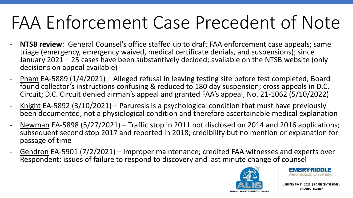## FAA Enforcement Case Precedent of Note

- **NTSB review**: General Counsel's office staffed up to draft FAA enforcement case appeals; same triage (emergency, emergency waived, medical certificate denials, and suspensions); since January 2021 – 25 cases have been substantively decided; available on the NTSB website (only decisions on appeal available)
- Pham EA-5889 (1/4/2021) Alleged refusal in leaving testing site before test completed; Board found collector's instructions confusing & reduced to 180 day suspension; cross appeals in D.C. Circuit; D.C. Circuit denied airman's appeal and granted FAA's appeal, No. 21-1062 (5/10/2022)
- <u>Knight</u> EA-5892 (3/10/2021) Paruresis is a psychological condition that must have previously been documented, not a physiological condition and therefore ascertainable medical explanation
- Newman EA-5898 (5/27/2021) Traffic stop in 2011 not disclosed on 2014 and 2016 applications; subsequent second stop 2017 and reported in 2018; credibility but no mention or explanation for passage of time
- Gendron EA-5901 (7/2/2021) Improper maintenance; credited FAA witnesses and experts over Respondent; issues of failure to respond to discovery and last minute change of counsel



EMBRY-RIDDLE Aeronautical University.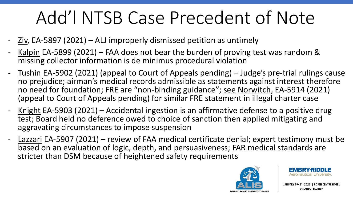## Add'l NTSB Case Precedent of Note

- Ziv, EA-5897 (2021) ALJ improperly dismissed petition as untimely
- Kalpin EA-5899 (2021) FAA does not bear the burden of proving test was random  $\&$ missing collector information is de minimus procedural violation
- Tushin EA-5902 (2021) (appeal to Court of Appeals pending) Judge's pre-trial rulings cause no prejudice; airman's medical records admissible as statements against interest therefore no need for foundation; FRE are "non-binding guidance"; see Norwitch, EA-5914 (2021) (appeal to Court of Appeals pending) for similar FRE statement in illegal charter case
- Knight EA-5903 (2021) Accidental ingestion is an affirmative defense to a positive drug test; Board held no deference owed to choice of sanction then applied mitigating and aggravating circumstances to impose suspension
- Lazzari EA-5907 (2021) review of FAA medical certificate denial; expert testimony must be based on an evaluation of logic, depth, and persuasiveness; FAR medical standards are stricter than DSM because of heightened safety requirements



EMBRYRI **Aeronautical University.**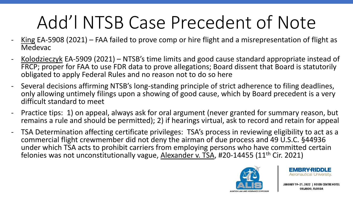## Add'l NTSB Case Precedent of Note

- King EA-5908 (2021) FAA failed to prove comp or hire flight and a misrepresentation of flight as Medevac
- Kolodzieczyk EA-5909 (2021) NTSB's time limits and good cause standard appropriate instead of FRCP; proper for FAA to use FDR data to prove allegations; Board dissent that Board is statutorily obligated to apply Federal Rules and no reason not to do so here
- Several decisions affirming NTSB's long-standing principle of strict adherence to filing deadlines, only allowing untimely filings upon a showing of good cause, which by Board precedent is a very difficult standard to meet
- Practice tips: 1) on appeal, always ask for oral argument (never granted for summary reason, but remains a rule and should be permitted); 2) if hearings virtual, ask to record and retain for appeal
- TSA Determination affecting certificate privileges: TSA's process in reviewing eligibility to act as a commercial flight crewmember did not deny the airman of due process and 49 U.S.C. §44936 under which TSA acts to prohibit carriers from employing persons who have committed certain felonies was not unconstitutionally vague, Alexander v. TSA, #20-14455 (11<sup>th</sup> Cir. 2021)



EMBRY-RI Aeronautical University.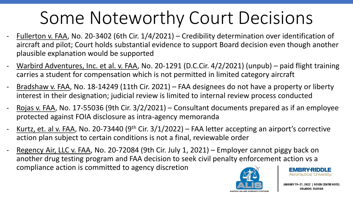## Some Noteworthy Court Decisions

- Fullerton v. FAA, No. 20-3402 (6th Cir. 1/4/2021) Credibility determination over identification of aircraft and pilot; Court holds substantial evidence to support Board decision even though another plausible explanation would be supported
- Warbird Adventures, Inc. et al. v. FAA, No. 20-1291 (D.C.Cir. 4/2/2021) (unpub) paid flight training carries a student for compensation which is not permitted in limited category aircraft
- Bradshaw v. FAA, No. 18-14249 (11th Cir. 2021) FAA designees do not have a property or liberty interest in their designation; judicial review is limited to internal review process conducted
- Rojas v. FAA, No. 17-55036 (9th Cir. 3/2/2021) Consultant documents prepared as if an employee protected against FOIA disclosure as intra-agency memoranda
- Kurtz, et. al v. FAA, No. 20-73440 (9<sup>th</sup> Cir.  $3/1/2022$ ) FAA letter accepting an airport's corrective action plan subject to certain conditions is not a final, reviewable order
- Regency Air, LLC v. FAA, No. 20-72084 (9th Cir. July 1, 2021) Employer cannot piggy back on another drug testing program and FAA decision to seek civil penalty enforcement action vs a compliance action is committed to agency discretionEMBRY-RIDDLE



Aeronautical University.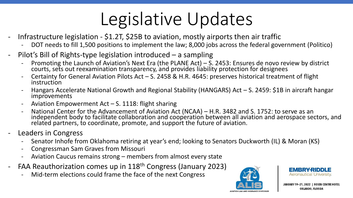## Legislative Updates

- Infrastructure legislation  $$1.2T$ ,  $$25B$  to aviation, mostly airports then air traffic
	- DOT needs to fill 1,500 positions to implement the law; 8,000 jobs across the federal government (Politico)
- Pilot's Bill of Rights-type legislation introduced a sampling
	- Promoting the Launch of Aviation's Next Era (the PLANE Act) S. 2453: Ensures de novo review by district courts, sets out reexamination transparency, and provides liability protection for designees
	- Certainty for General Aviation Pilots Act  $-$  S. 2458 & H.R. 4645: preserves historical treatment of flight instruction
	- Hangars Accelerate National Growth and Regional Stability (HANGARS) Act S. 2459: \$1B in aircraft hangar improvements
	- Aviation Empowerment Act S. 1118: flight sharing
	- National Center for the Advancement of Aviation Act (NCAA) H.R. 3482 and S. 1752: to serve as an independent body to facilitate collaboration and cooperation between all aviation and aerospace sectors, and related partners, to coordinate, promote, and support the future of aviation.
- Leaders in Congress
	- Senator Inhofe from Oklahoma retiring at year's end; looking to Senators Duckworth (IL) & Moran (KS)
	- Congressman Sam Graves from Missouri
	- Aviation Caucus remains strong members from almost every state
- FAA Reauthorization comes up in 118<sup>th</sup> Congress (January 2023)
	- Mid-term elections could frame the face of the next Congress



EMBRY **Aeronautical University.**